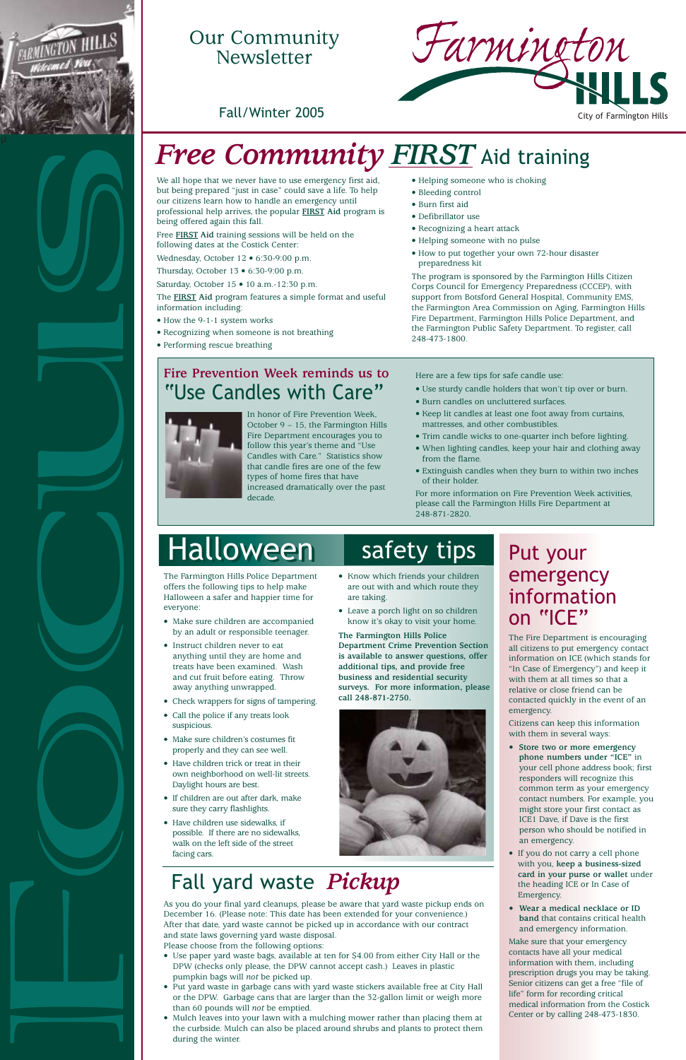We all hope that we never have to use emergency first aid, but being prepared "just in case" could save a life. To help our citizens learn how to handle an emergency until professional help arrives, the popular **FIRST Aid** program is being offered again this fall.

Free **FIRST Aid** training sessions will be held on the following dates at the Costick Center:

Wednesday, October 12 · 6:30-9:00 p.m.

Thursday, October 13 • 6:30-9:00 p.m.

Saturday, October 15 • 10 a.m.-12:30 p.m.

The **FIRST Aid** program features a simple format and useful information including:

- How the 9-1-1 system works
- Recognizing when someone is not breathing
- Performing rescue breathing
- Helping someone who is choking
- Bleeding control
- Burn first aid
- Defibrillator use
- Recognizing a heart attack
- Helping someone with no pulse
- How to put together your own 72-hour disaster preparedness kit

The program is sponsored by the Farmington Hills Citizen Corps Council for Emergency Preparedness (CCCEP), with support from Botsford General Hospital, Community EMS, the Farmington Area Commission on Aging, Farmington Hills Fire Department, Farmington Hills Police Department, and the Farmington Public Safety Department. To register, call 248-473-1800.

# emergency information on "ICE"

The Fire Department is encouraging all citizens to put emergency contact information on ICE (which stands for "In Case of Emergency") and keep it with them at all times so that a relative or close friend can be contacted quickly in the event of an emergency.

Citizens can keep this information with them in several ways:

**• Store two or more emergency phone numbers under "ICE"** in your cell phone address book; first responders will recognize this

common term as your emergency contact numbers. For example, you might store your first contact as ICE1 Dave, if Dave is the first person who should be notified in an emergency.

- If you do not carry a cell phone with you, **keep a business-sized card in your purse or wallet** under the heading ICE or In Case of Emergency.
- **Wear a medical necklace or ID band** that contains critical health and emergency information.

Make sure that your emergency contacts have all your medical information with them, including prescription drugs you may be taking. Senior citizens can get a free "file of life" form for recording critical medical information from the Costick Center or by calling 248-473-1830.

# *Free Community FIRST* Aid training





### Our Community Newsletter



offers the following tips to help make Halloween a safer and happier time for everyone:

- Make sure children are accompanied by an adult or responsible teenager.
- Instruct children never to eat anything until they are home and treats have been examined. Wash and cut fruit before eating. Throw away anything unwrapped.
- Check wrappers for signs of tampering.
- Call the police if any treats look suspicious.
- Make sure children's costumes fit properly and they can see well.
- Have children trick or treat in their own neighborhood on well-lit streets.

Daylight hours are best.

- If children are out after dark, make sure they carry flashlights.
- Have children use sidewalks, if possible. If there are no sidewalks, walk on the left side of the street facing cars.
- Know which friends your children are out with and which route they are taking.
- Leave a porch light on so children know it's okay to visit your home.

**The Farmington Hills Police Department Crime Prevention Section is available to answer questions, offer additional tips, and provide free business and residential security surveys. For more information, please call 248-871-2750.**



### Fall yard waste *Pickup*

As you do your final yard cleanups, please be aware that yard waste pickup ends on December 16. (Please note: This date has been extended for your convenience.) After that date, yard waste cannot be picked up in accordance with our contract and state laws governing yard waste disposal. Please choose from the following options:

- Use paper yard waste bags, available at ten for \$4.00 from either City Hall or the DPW (checks only please, the DPW cannot accept cash.) Leaves in plastic pumpkin bags will *not* be picked up.
- Put yard waste in garbage cans with yard waste stickers available free at City Hall or the DPW. Garbage cans that are larger than the 32-gallon limit or weigh more than 60 pounds will *not* be emptied.
- Mulch leaves into your lawn with a mulching mower rather than placing them at the curbside. Mulch can also be placed around shrubs and plants to protect them during the winter.

### **Fire Prevention Week reminds us to** "Use Candles with Care"



In honor of Fire Prevention Week, October 9 – 15, the Farmington Hills Fire Department encourages you to follow this year's theme and "Use Candles with Care." Statistics show that candle fires are one of the few types of home fires that have increased dramatically over the past decade.

Here are a few tips for safe candle use:

- Use sturdy candle holders that won't tip over or burn.
- Burn candles on uncluttered surfaces.
- Keep lit candles at least one foot away from curtains, mattresses, and other combustibles.
- Trim candle wicks to one-quarter inch before lighting.
- When lighting candles, keep your hair and clothing away from the flame.
- Extinguish candles when they burn to within two inches of their holder.

For more information on Fire Prevention Week activities, please call the Farmington Hills Fire Department at 248-871-2820.

# Halloween safety tips Put your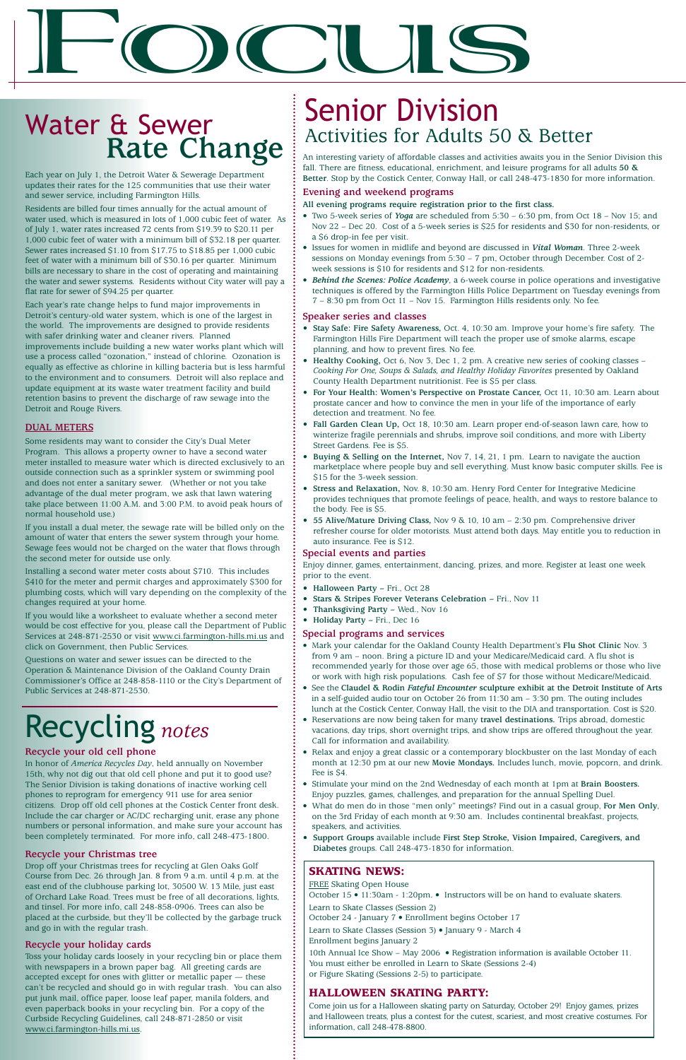Each year on July 1, the Detroit Water & Sewerage Department updates their rates for the 125 communities that use their water and sewer service, including Farmington Hills.

Residents are billed four times annually for the actual amount of water used, which is measured in lots of 1,000 cubic feet of water. As of July 1, water rates increased 72 cents from \$19.39 to \$20.11 per 1,000 cubic feet of water with a minimum bill of \$32.18 per quarter. Sewer rates increased \$1.10 from \$17.75 to \$18.85 per 1,000 cubic feet of water with a minimum bill of \$30.16 per quarter. Minimum bills are necessary to share in the cost of operating and maintaining the water and sewer systems. Residents without City water will pay a flat rate for sewer of \$94.25 per quarter.

Each year's rate change helps to fund major improvements in Detroit's century-old water system, which is one of the largest in the world. The improvements are designed to provide residents with safer drinking water and cleaner rivers. Planned improvements include building a new water works plant which will use a process called "ozonation," instead of chlorine. Ozonation is equally as effective as chlorine in killing bacteria but is less harmful to the environment and to consumers. Detroit will also replace and update equipment at its waste water treatment facility and build retention basins to prevent the discharge of raw sewage into the Detroit and Rouge Rivers.

### **DUAL METERS**

Some residents may want to consider the City's Dual Meter Program. This allows a property owner to have a second water meter installed to measure water which is directed exclusively to an outside connection such as a sprinkler system or swimming pool and does not enter a sanitary sewer. (Whether or not you take advantage of the dual meter program, we ask that lawn watering take place between 11:00 A.M. and 3:00 P.M. to avoid peak hours of normal household use.)

If you install a dual meter, the sewage rate will be billed only on the amount of water that enters the sewer system through your home. Sewage fees would not be charged on the water that flows through the second meter for outside use only.

Installing a second water meter costs about \$710. This includes \$410 for the meter and permit charges and approximately \$300 for plumbing costs, which will vary depending on the complexity of the changes required at your home.

If you would like a worksheet to evaluate whether a second meter would be cost effective for you, please call the Department of Public Services at 248-871-2530 or visit www.ci.farmington-hills.mi.us and click on Government, then Public Services.

Questions on water and sewer issues can be directed to the Operation & Maintenance Division of the Oakland County Drain Commissioner's Office at 248-858-1110 or the City's Department of Public Services at 248-871-2530.

# $\mathbf{F}$

# Water & Sewer **Rate Change**

# Recycling *notes*

### **Recycle your old cell phone**

In honor of *America Recycles Day*, held annually on November 15th, why not dig out that old cell phone and put it to good use?

The Senior Division is taking donations of inactive working cell phones to reprogram for emergency 911 use for area senior citizens. Drop off old cell phones at the Costick Center front desk. Include the car charger or AC/DC recharging unit, erase any phone numbers or personal information, and make sure your account has been completely terminated. For more info, call 248-473-1800.

### **Recycle your Christmas tree**

- Halloween Party Fri., Oct 28
- **Stars & Stripes Forever Veterans Celebration –** Fri., Nov 11
- **Thanksgiving Party –** Wed., Nov 16
- **Holiday Party –** Fri., Dec 16

Drop off your Christmas trees for recycling at Glen Oaks Golf Course from Dec. 26 through Jan. 8 from 9 a.m. until 4 p.m. at the east end of the clubhouse parking lot, 30500 W. 13 Mile, just east of Orchard Lake Road. Trees must be free of all decorations, lights, and tinsel. For more info, call 248-858-0906. Trees can also be placed at the curbside, but they'll be collected by the garbage truck and go in with the regular trash.

### **Recycle your holiday cards**

Toss your holiday cards loosely in your recycling bin or place them with newspapers in a brown paper bag. All greeting cards are accepted except for ones with glitter or metallic paper — these can't be recycled and should go in with regular trash. You can also put junk mail, office paper, loose leaf paper, manila folders, and even paperback books in your recycling bin. For a copy of the Curbside Recycling Guidelines, call 248-871-2850 or visit www.ci.farmington-hills.mi.us.

An interesting variety of affordable classes and activities awaits you in the Senior Division this fall. There are fitness, educational, enrichment, and leisure programs for all adults **50 & Better**. Stop by the Costick Center, Conway Hall, or call 248-473-1830 for more information.

### **Evening and weekend programs**

### **All evening programs require registration prior to the first class.**

- Two 5-week series of *Yoga* are scheduled from 5:30 6:30 pm, from Oct 18 Nov 15; and Nov 22 – Dec 20. Cost of a 5-week series is \$25 for residents and \$30 for non-residents, or a \$6 drop-in fee per visit.
- Issues for women in midlife and beyond are discussed in *Vital Woman*. Three 2-week sessions on Monday evenings from 5:30 – 7 pm, October through December. Cost of 2 week sessions is \$10 for residents and \$12 for non-residents.
- Behind the Scenes: Police Academy, a 6-week course in police operations and investigative techniques is offered by the Farmington Hills Police Department on Tuesday evenings from 7 – 8:30 pm from Oct 11 – Nov 15. Farmington Hills residents only. No fee.

### **Speaker series and classes**

- **Stay Safe: Fire Safety Awareness,** Oct. 4, 10:30 am. Improve your home's fire safety. The Farmington Hills Fire Department will teach the proper use of smoke alarms, escape planning, and how to prevent fires. No fee.
- Healthy Cooking, Oct 6, Nov 3, Dec 1, 2 pm. A creative new series of cooking classes *Cooking For One, Soups & Salads, and Healthy Holiday Favorites* presented by Oakland County Health Department nutritionist. Fee is \$5 per class.
- **For Your Health: Women's Perspective on Prostate Cancer,** Oct 11, 10:30 am. Learn about prostate cancer and how to convince the men in your life of the importance of early detection and treatment. No fee.
- **Fall Garden Clean Up,** Oct 18, 10:30 am. Learn proper end-of-season lawn care, how to winterize fragile perennials and shrubs, improve soil conditions, and more with Liberty Street Gardens. Fee is \$5.
- **Buying & Selling on the Internet,** Nov 7, 14, 21, 1 pm. Learn to navigate the auction marketplace where people buy and sell everything. Must know basic computer skills. Fee is \$15 for the 3-week session.
- **Stress and Relaxation,** Nov. 8, 10:30 am. Henry Ford Center for Integrative Medicine provides techniques that promote feelings of peace, health, and ways to restore balance to the body. Fee is \$5.
- **55 Alive/Mature Driving Class,** Nov 9 & 10, 10 am 2:30 pm. Comprehensive driver refresher course for older motorists. Must attend both days. May entitle you to reduction in auto insurance. Fee is \$12.

### **Special events and parties**

Enjoy dinner, games, entertainment, dancing, prizes, and more. Register at least one week prior to the event.

### **Special programs and services**

- Mark your calendar for the Oakland County Health Department's **Flu Shot Clinic** Nov. 3 from 9 am – noon. Bring a picture ID and your Medicare/Medicaid card. A flu shot is recommended yearly for those over age 65, those with medical problems or those who live or work with high risk populations. Cash fee of \$7 for those without Medicare/Medicaid.
- See the **Claudel & Rodin** *Fateful Encounter* **sculpture exhibit at the Detroit Institute of Arts** in a self-guided audio tour on October 26 from 11:30 am – 3:30 pm. The outing includes lunch at the Costick Center, Conway Hall, the visit to the DIA and transportation. Cost is \$20.
- Reservations are now being taken for many **travel destinations.** Trips abroad, domestic vacations, day trips, short overnight trips, and show trips are offered throughout the year. Call for information and availability.
- Relax and enjoy a great classic or a contemporary blockbuster on the last Monday of each month at 12:30 pm at our new **Movie Mondays.** Includes lunch, movie, popcorn, and drink. Fee is \$4.

- Stimulate your mind on the 2nd Wednesday of each month at 1pm at **Brain Boosters.** Enjoy puzzles, games, challenges, and preparation for the annual Spelling Duel.
- What do men do in those "men only" meetings? Find out in a casual group, **For Men Only**, on the 3rd Friday of each month at 9:30 am. Includes continental breakfast, projects, speakers, and activities.
- **Support Groups** available include **First Step Stroke, Vision Impaired, Caregivers, and Diabetes** groups. Call 248-473-1830 for information.

# Senior Division Activities for Adults 50 & Better

### **SKATING NEWS:**

FREE Skating Open House October 15 • 11:30am - 1:20pm. • Instructors will be on hand to evaluate skaters. Learn to Skate Classes (Session 2)

October 24 - January 7 • Enrollment begins October 17

```
Learn to Skate Classes (Session 3) • January 9 - March 4
```
Enrollment begins January 2

10th Annual Ice Show – May 2006 • Registration information is available October 11. You must either be enrolled in Learn to Skate (Sessions 2-4)

or Figure Skating (Sessions 2-5) to participate.

### **HALLOWEEN SKATING PARTY:**

Come join us for a Halloween skating party on Saturday, October 29! Enjoy games, prizes and Halloween treats, plus a contest for the cutest, scariest, and most creative costumes. For information, call 248-478-8800.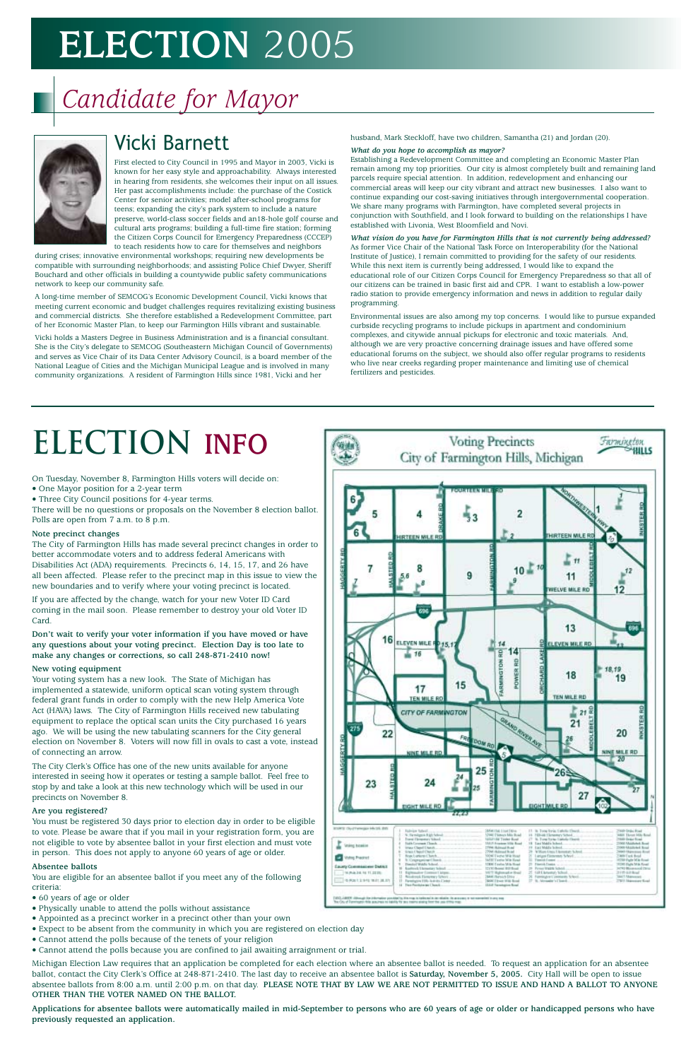### Vicki Barnett

First elected to City Council in 1995 and Mayor in 2003, Vicki is known for her easy style and approachability. Always interested in hearing from residents, she welcomes their input on all issues. Her past accomplishments include: the purchase of the Costick Center for senior activities; model after-school programs for teens; expanding the city's park system to include a nature preserve, world-class soccer fields and an18-hole golf course and cultural arts programs; building a full-time fire station; forming the Citizen Corps Council for Emergency Preparedness (CCCEP) to teach residents how to care for themselves and neighbors

during crises; innovative environmental workshops; requiring new developments be compatible with surrounding neighborhoods; and assisting Police Chief Dwyer, Sheriff Bouchard and other officials in building a countywide public safety communications network to keep our community safe.

A long-time member of SEMCOG's Economic Development Council, Vicki knows that meeting current economic and budget challenges requires revitalizing existing business and commercial districts. She therefore established a Redevelopment Committee, part of her Economic Master Plan, to keep our Farmington Hills vibrant and sustainable.

Vicki holds a Masters Degree in Business Administration and is a financial consultant. She is the City's delegate to SEMCOG (Southeastern Michigan Council of Governments) and serves as Vice Chair of its Data Center Advisory Council, is a board member of the National League of Cities and the Michigan Municipal League and is involved in many community organizations. A resident of Farmington Hills since 1981, Vicki and her

husband, Mark Steckloff, have two children, Samantha (21) and Jordan (20).

#### *What do you hope to accomplish as mayor?*

Establishing a Redevelopment Committee and completing an Economic Master Plan remain among my top priorities. Our city is almost completely built and remaining land parcels require special attention. In addition, redevelopment and enhancing our commercial areas will keep our city vibrant and attract new businesses. I also want to continue expanding our cost-saving initiatives through intergovernmental cooperation. We share many programs with Farmington, have completed several projects in conjunction with Southfield, and I look forward to building on the relationships I have established with Livonia, West Bloomfield and Novi.

*What vision do you have for Farmington Hills that is not currently being addressed?* As former Vice Chair of the National Task Force on Interoperability (for the National Institute of Justice), I remain committed to providing for the safety of our residents. While this next item is currently being addressed, I would like to expand the educational role of our Citizen Corps Council for Emergency Preparedness so that all of our citizens can be trained in basic first aid and CPR. I want to establish a low-power radio station to provide emergency information and news in addition to regular daily programming.

Environmental issues are also among my top concerns. I would like to pursue expanded curbside recycling programs to include pickups in apartment and condominium complexes, and citywide annual pickups for electronic and toxic materials. And, although we are very proactive concerning drainage issues and have offered some educational forums on the subject, we should also offer regular programs to residents who live near creeks regarding proper maintenance and limiting use of chemical fertilizers and pesticides.

# *Candidate for Mayor*



# **Election INFO**

On Tuesday, November 8, Farmington Hills voters will decide on:

- One Mayor position for a 2-year term
- Three City Council positions for 4-year terms.

There will be no questions or proposals on the November 8 election ballot. Polls are open from 7 a.m. to 8 p.m.

### **Note precinct changes**

The City of Farmington Hills has made several precinct changes in order to better accommodate voters and to address federal Americans with Disabilities Act (ADA) requirements. Precincts 6, 14, 15, 17, and 26 have all been affected. Please refer to the precinct map in this issue to view the new boundaries and to verify where your voting precinct is located.

If you are affected by the change, watch for your new Voter ID Card coming in the mail soon. Please remember to destroy your old Voter ID Card.

**Don't wait to verify your voter information if you have moved or have any questions about your voting precinct. Election Day is too late to make any changes or corrections, so call 248-871-2410 now!**

### **New voting equipment**

Your voting system has a new look. The State of Michigan has implemented a statewide, uniform optical scan voting system through federal grant funds in order to comply with the new Help America Vote Act (HAVA) laws. The City of Farmington Hills received new tabulating equipment to replace the optical scan units the City purchased 16 years ago. We will be using the new tabulating scanners for the City general election on November 8. Voters will now fill in ovals to cast a vote, instead of connecting an arrow.

The City Clerk's Office has one of the new units available for anyone interested in seeing how it operates or testing a sample ballot. Feel free to stop by and take a look at this new technology which will be used in our precincts on November 8.



#### **Are you registered?**

You must be registered 30 days prior to election day in order to be eligible to vote. Please be aware that if you mail in your registration form, you are not eligible to vote by absentee ballot in your first election and must vote in person. This does not apply to anyone 60 years of age or older.

#### **Absentee ballots**

You are eligible for an absentee ballot if you meet any of the following criteria:

- 60 years of age or older
- Physically unable to attend the polls without assistance
- Appointed as a precinct worker in a precinct other than your own
- Expect to be absent from the community in which you are registered on election day
- Cannot attend the polls because of the tenets of your religion
- Cannot attend the polls because you are confined to jail awaiting arraignment or trial.

Michigan Election Law requires that an application be completed for each election where an absentee ballot is needed. To request an application for an absentee ballot, contact the City Clerk's Office at 248-871-2410. The last day to receive an absentee ballot is **Saturday, November 5, 2005.** City Hall will be open to issue absentee ballots from 8:00 a.m. until 2:00 p.m. on that day. **PLEASE NOTE THAT BY LAW WE ARE NOT PERMITTED TO ISSUE AND HAND A BALLOT TO ANYONE OTHER THAN THE VOTER NAMED ON THE BALLOT.** 

**Applications for absentee ballots were automatically mailed in mid-September to persons who are 60 years of age or older or handicapped persons who have previously requested an application.**

|                                                                            | EIGHT MILE RD<br><b>FERES</b>                                                                                                                                                                         | FARM                                                                                                                                            | 27<br>EIGHT MILE RD                                                                                                                                     |                                                                                                                        |
|----------------------------------------------------------------------------|-------------------------------------------------------------------------------------------------------------------------------------------------------------------------------------------------------|-------------------------------------------------------------------------------------------------------------------------------------------------|---------------------------------------------------------------------------------------------------------------------------------------------------------|------------------------------------------------------------------------------------------------------------------------|
| IT OUSTWINGER MAIDS, BBS<br><b><i><u>Unions</u></i></b> funerion           | <b>Fallelin Tollwill</b><br>N. Firmitges Rich School.<br>Formal Elementury School.<br><b>Indictment Deeds</b><br>Haw Classif Literatu                                                                 | <b>MORITIME ETAN ENTIRE</b><br>10000 Flategro Mile Board<br><b>GELFI Dd Tinder Boot</b><br>15413 Freedom USA Board<br><b>Devill liabilities</b> | 11-Th. Tome for in: Latistic Clouds.<br>16 Hilbride Hamostery School<br>17 N. Tuna fortu Liabela Deant<br>18 East Mablin School.<br>Eail Middle Indoor. | <b>Gift Index Road</b><br><b>AAH Thrust Milk Box</b><br>1980 Texter Road<br>2000 Middlebek Road<br>1980 Maldoled Board |
| <b>Valley Presinct</b>                                                     | Graci Chard Chards.<br>Rope Luptures Charch<br>5. Cooperativan Diserts<br>Desided Middle School.                                                                                                      | Sai di kuandato MO<br>000 Tivera Mik Road<br>MSI Tustu Mik Supt<br>10800 Evalua Mila Bisad                                                      | 70 Villam Univ. I lammar School.<br>Langes Distantant School<br>22: Firmink Contest<br>23 Florida France, L. L. L.                                      | <b>RAD Upperman Book</b><br>WAY I will fired<br><b>COD Fade SCA Row</b><br>1000 Fight Milk Road                        |
| Easety Commissioner District<br>THURSEL R. FL 22221<br><b>CONSTRUCTION</b> | ы<br><b>Euchtred Universites School</b><br>11<br>Eighteausbow Contenue I, Juliano.<br>13<br>Nonbrook Elementary School,<br>Farmington ESS), Automo: Center<br>11<br>14<br>Flori Fornitzian in Chanci- | 12150 Belmin 800 Break<br>10 TT Washington Shoul<br><b>MARI Hursuich Ehrios</b><br>\$500 Tires in it found<br>15.5.0 Transmission Briad         | Pirma Walch School<br>25 Eith Elements School,<br>26 Filmslagest Liminiates School.<br>27 N. Monadar's Clusted                                          | NOW Bloomsood China<br>hand this 2111.<br>Use 1-Manuscare<br>27813 Sharemore Krad                                      |

# **ELECTION** 2005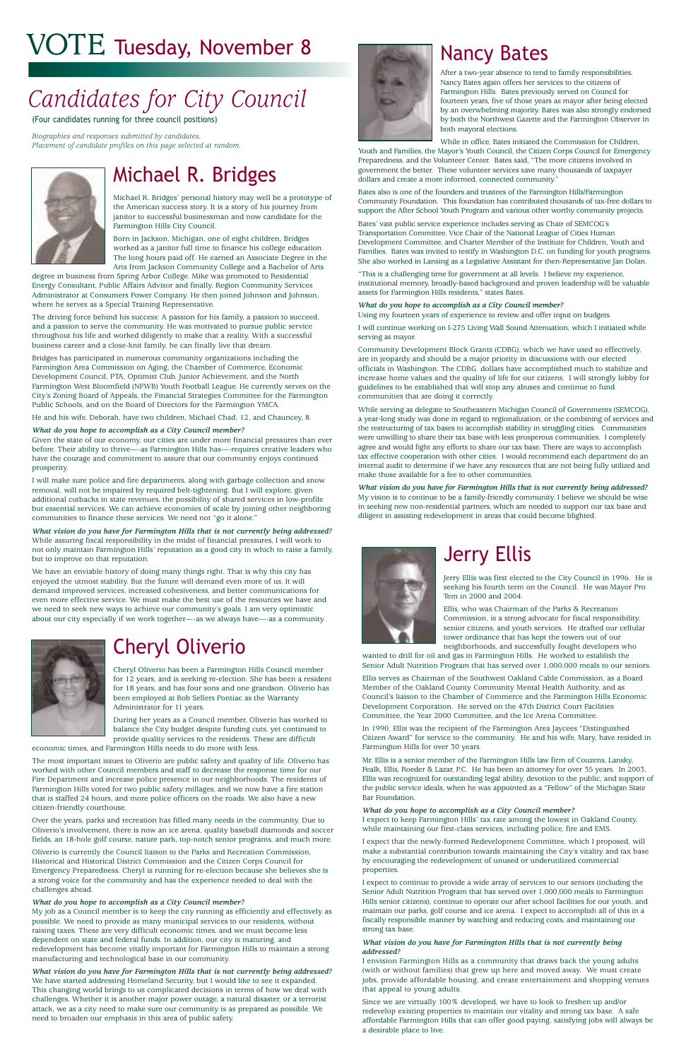### Michael R. Bridges

Michael R. Bridges' personal history may well be a prototype of the American success story. It is a story of his journey from janitor to successful businessman and now candidate for the Farmington Hills City Council.

Born in Jackson, Michigan, one of eight children, Bridges worked as a janitor full time to finance his college education. The long hours paid off. He earned an Associate Degree in the Arts from Jackson Community College and a Bachelor of Arts

degree in business from Spring Arbor College. Mike was promoted to Residential Energy Consultant, Public Affairs Advisor and finally, Region Community Services Administrator at Consumers Power Company. He then joined Johnson and Johnson, where he serves as a Special Training Representative.

The driving force behind his success: A passion for his family, a passion to succeed, and a passion to serve the community. He was motivated to pursue public service throughout his life and worked diligently to make that a reality. With a successful business career and a close-knit family, he can finally live that dream.

Bridges has participated in numerous community organizations including the Farmington Area Commission on Aging, the Chamber of Commerce, Economic Development Council, PTA, Optimist Club, Junior Achievement, and the North Farmington West Bloomfield (NFWB) Youth Football League. He currently serves on the City's Zoning Board of Appeals, the Financial Strategies Committee for the Farmington Public Schools, and on the Board of Directors for the Farmington YMCA.

He and his wife, Deborah, have two children, Michael Chad, 12, and Chauncey, 8.

#### *What do you hope to accomplish as a City Council member?*

Given the state of our economy, our cities are under more financial pressures than ever before. Their ability to thrive—-as Farmington Hills has—-requires creative leaders who have the courage and commitment to assure that our community enjoys continued prosperity.

I will make sure police and fire departments, along with garbage collection and snow removal, will not be impaired by required belt-tightening. But I will explore, given additional cutbacks in state revenues, the possibility of shared services in low-profile but essential services. We can achieve economies of scale by joining other neighboring communities to finance these services. We need not "go it alone."

*What vision do you have for Farmington Hills that is not currently being addressed?* While assuring fiscal responsibility in the midst of financial pressures, I will work to not only maintain Farmington Hills' reputation as a good city in which to raise a family, but to improve on that reputation.

We have an enviable history of doing many things right. That is why this city has enjoyed the utmost stability. But the future will demand even more of us. It will demand improved services, increased cohesiveness, and better communications for even more effective service. We must make the best use of the resources we have and we need to seek new ways to achieve our community's goals. I am very optimistic about our city especially if we work together—-as we always have—-as a community.



### Cheryl Oliverio

Cheryl Oliverio has been a Farmington Hills Council member for 12 years, and is seeking re-election. She has been a resident for 18 years, and has four sons and one grandson. Oliverio has been employed at Bob Sellers Pontiac as the Warranty Administrator for 11 years.

During her years as a Council member, Oliverio has worked to balance the City budget despite funding cuts, yet continued to provide quality services to the residents. These are difficult

economic times, and Farmington Hills needs to do more with less.

The most important issues to Oliverio are public safety and quality of life. Oliverio has worked with other Council members and staff to decrease the response time for our



Fire Department and increase police presence in our neighborhoods. The residents of Farmington Hills voted for two public safety millages, and we now have a fire station that is staffed 24 hours, and more police officers on the roads. We also have a new citizen-friendly courthouse.

Over the years, parks and recreation has filled many needs in the community. Due to Oliverio's involvement, there is now an ice arena, quality baseball diamonds and soccer fields, an 18-hole golf course, nature park, top-notch senior programs, and much more.

Oliverio is currently the Council liaison to the Parks and Recreation Commission, Historical and Historical District Commission and the Citizen Corps Council for Emergency Preparedness. Cheryl is running for re-election because she believes she is a strong voice for the community and has the experience needed to deal with the challenges ahead.

#### *What do you hope to accomplish as a City Council member?*

My job as a Council member is to keep the city running as efficiently and effectively as possible. We need to provide as many municipal services to our residents, without raising taxes. These are very difficult economic times, and we must become less dependent on state and federal funds. In addition, our city is maturing, and redevelopment has become vitally important for Farmington Hills to maintain a strong manufacturing and technological base in our community.

*What vision do you have for Farmington Hills that is not currently being addressed?* We have started addressing Homeland Security, but I would like to see it expanded. This changing world brings to us complicated decisions in terms of how we deal with challenges. Whether it is another major power outage, a natural disaster, or a terrorist attack, we as a city need to make sure our community is as prepared as possible. We need to broaden our emphasis in this area of public safety.

# *Candidates for City Council*

### Nancy Bates

After a two-year absence to tend to family responsibilities, Nancy Bates again offers her services to the citizens of Farmington Hills. Bates previously served on Council for fourteen years, five of those years as mayor after being elected by an overwhelming majority. Bates was also strongly endorsed by both the Northwest Gazette and the Farmington Observer in both mayoral elections.

While in office, Bates initiated the Commission for Children,

Youth and Families, the Mayor's Youth Council, the Citizen Corps Council for Emergency Preparedness, and the Volunteer Center. Bates said, "The more citizens involved in government the better. These volunteer services save many thousands of taxpayer dollars and create a more informed, connected community."

Bates also is one of the founders and trustees of the Farmington Hills/Farmington Community Foundation. This foundation has contributed thousands of tax-free dollars to support the After School Youth Program and various other worthy community projects.

Bates' vast public service experience includes serving as Chair of SEMCOG's Transportation Committee, Vice Chair of the National League of Cities Human Development Committee, and Charter Member of the Institute for Children, Youth and Families. Bates was invited to testify in Washington D.C. on funding for youth programs. She also worked in Lansing as a Legislative Assistant for then-Representative Jan Dolan.

"This is a challenging time for government at all levels. I believe my experience, institutional memory, broadly-based background and proven leadership will be valuable assets for Farmington Hills residents," states Bates.

#### *What do you hope to accomplish as a City Council member?*

Using my fourteen years of experience to review and offer input on budgets.

I will continue working on I-275 Living Wall Sound Attenuation, which I initiated while serving as mayor.

Community Development Block Grants (CDBG), which we have used so effectively, are in jeopardy and should be a major priority in discussions with our elected officials in Washington. The CDBG dollars have accomplished much to stabilize and increase home values and the quality of life for our citizens. I will strongly lobby for guidelines to be established that will stop any abuses and continue to fund communities that are doing it correctly.

While serving as delegate to Southeastern Michigan Council of Governments (SEMCOG), a year-long study was done in regard to regionalization, or the combining of services and the restructuring of tax bases to accomplish stability in struggling cities. Communities were unwilling to share their tax base with less prosperous communities. I completely agree and would fight any efforts to share our tax base. There are ways to accomplish tax effective cooperation with other cities. I would recommend each department do an internal audit to determine if we have any resources that are not being fully utilized and make those available for a fee to other communities.

*What vision do you have for Farmington Hills that is not currently being addressed?* My vision is to continue to be a family-friendly community. I believe we should be wise in seeking new non-residential partners, which are needed to support our tax base and diligent in assisting redevelopment in areas that could become blighted.



Jerry Ellis was first elected to the City Council in 1996. He is seeking his fourth term on the Council. He was Mayor Pro Tem in 2000 and 2004.

Ellis, who was Chairman of the Parks & Recreation Commission, is a strong advocate for fiscal responsibility, senior citizens, and youth services. He drafted our cellular tower ordinance that has kept the towers out of our neighborhoods, and successfully fought developers who

wanted to drill for oil and gas in Farmington Hills. He worked to establish the Senior Adult Nutrition Program that has served over 1,000,000 meals to our seniors.

Ellis serves as Chairman of the Southwest Oakland Cable Commission, as a Board Member of the Oakland County Community Mental Health Authority, and as Council's liaison to the Chamber of Commerce and the Farmington Hills Economic Development Corporation. He served on the 47th District Court Facilities Committee, the Year 2000 Committee, and the Ice Arena Committee.

In 1990, Ellis was the recipient of the Farmington Area Jaycees "Distinguished Citizen Award" for service to the community. He and his wife, Mary, have resided in Farmington Hills for over 30 years.

Mr. Ellis is a senior member of the Farmington Hills law firm of Couzens, Lansky, Fealk, Ellis, Roeder & Lazar, P.C. He has been an attorney for over 35 years. In 2003, Ellis was recognized for outstanding legal ability, devotion to the public, and support of the public service ideals, when he was appointed as a "Fellow" of the Michigan State Bar Foundation.

#### *What do you hope to accomplish as a City Council member?*

I expect to keep Farmington Hills' tax rate among the lowest in Oakland County, while maintaining our first-class services, including police, fire and EMS.

I expect that the newly-formed Redevelopment Committee, which I proposed, will make a substantial contribution towards maintaining the City's vitality and tax base by encouraging the redevelopment of unused or underutilized commercial properties.

I expect to continue to provide a wide array of services to our seniors (including the Senior Adult Nutrition Program that has served over 1,000,000 meals to Farmington Hills senior citizens), continue to operate our after school facilities for our youth, and maintain our parks, golf course and ice arena. I expect to accomplish all of this in a fiscally responsible manner by watching and reducing costs, and maintaining our strong tax base.

#### *What vision do you have for Farmington Hills that is not currently being addressed?*

I envision Farmington Hills as a community that draws back the young adults (with or without families) that grew up here and moved away. We must create jobs, provide affordable housing, and create entertainment and shopping venues that appeal to young adults.

Since we are virtually 100% developed, we have to look to freshen up and/or redevelop existing properties to maintain our vitality and strong tax base. A safe affordable Farmington Hills that can offer good paying, satisfying jobs will always be a desirable place to live.

# VOTE Tuesday, November 8

(Four candidates running for three council positions)

*Biographies and responses submitted by candidates. Placement of candidate profiles on this page selected at random.*

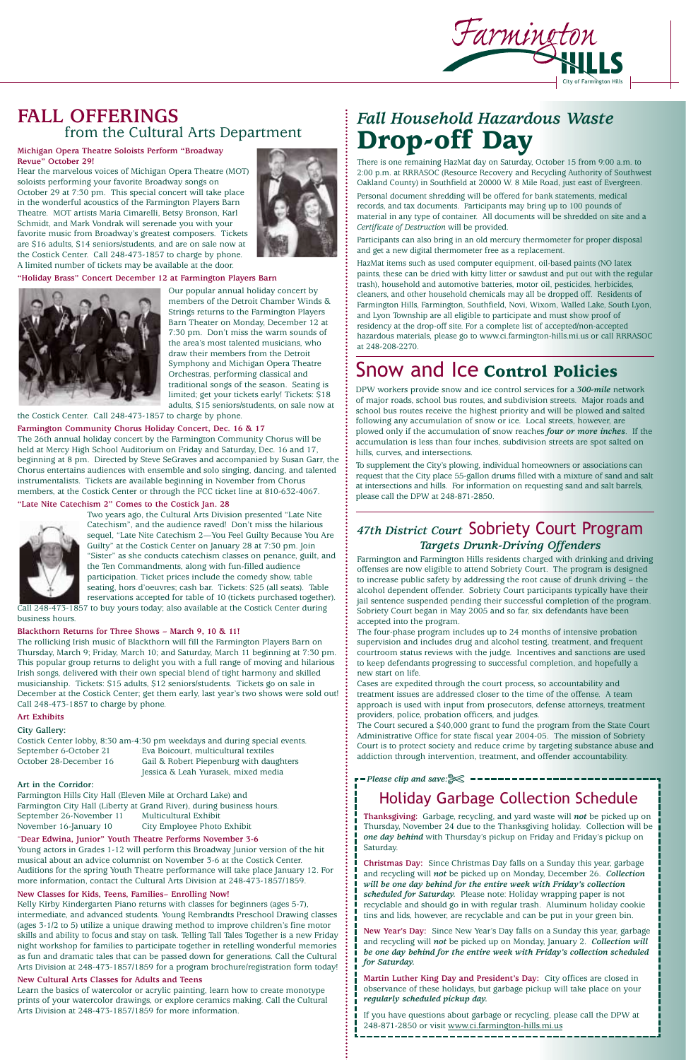### **FALL OFFERINGS**  from the Cultural Arts Department

### **Michigan Opera Theatre Soloists Perform "Broadway Revue" October 29!**

Hear the marvelous voices of Michigan Opera Theatre (MOT) soloists performing your favorite Broadway songs on October 29 at 7:30 pm. This special concert will take place in the wonderful acoustics of the Farmington Players Barn Theatre. MOT artists Maria Cimarelli, Betsy Bronson, Karl Schmidt, and Mark Vondrak will serenade you with your favorite music from Broadway's greatest composers. Tickets are \$16 adults, \$14 seniors/students, and are on sale now at the Costick Center. Call 248-473-1857 to charge by phone. A limited number of tickets may be available at the door.

### **"Holiday Brass" Concert December 12 at Farmington Players Barn**



Our popular annual holiday concert by members of the Detroit Chamber Winds & Strings returns to the Farmington Players Barn Theater on Monday, December 12 at 7:30 pm. Don't miss the warm sounds of the area's most talented musicians, who draw their members from the Detroit Symphony and Michigan Opera Theatre Orchestras, performing classical and traditional songs of the season. Seating is limited; get your tickets early! Tickets: \$18 adults, \$15 seniors/students, on sale now at

the Costick Center. Call 248-473-1857 to charge by phone.

#### **Farmington Community Chorus Holiday Concert, Dec. 16 & 17**

The 26th annual holiday concert by the Farmington Community Chorus will be held at Mercy High School Auditorium on Friday and Saturday, Dec. 16 and 17, beginning at 8 pm. Directed by Steve SeGraves and accompanied by Susan Garr, the Chorus entertains audiences with ensemble and solo singing, dancing, and talented instrumentalists. Tickets are available beginning in November from Chorus members, at the Costick Center or through the FCC ticket line at 810-632-4067.

#### **"Late Nite Catechism 2" Comes to the Costick Jan. 28**



Two years ago, the Cultural Arts Division presented "Late Nite Catechism", and the audience raved! Don't miss the hilarious sequel, "Late Nite Catechism 2—You Feel Guilty Because You Are Guilty" at the Costick Center on January 28 at 7:30 pm. Join "Sister" as she conducts catechism classes on penance, guilt, and the Ten Commandments, along with fun-filled audience participation. Ticket prices include the comedy show, table seating, hors d'oeuvres; cash bar. Tickets: \$25 (all seats). Table reservations accepted for table of 10 (tickets purchased together).

Call 248-473-1857 to buy yours today; also available at the Costick Center during business hours.

#### **Blackthorn Returns for Three Shows – March 9, 10 & 11!**

The rollicking Irish music of Blackthorn will fill the Farmington Players Barn on Thursday, March 9; Friday, March 10; and Saturday, March 11 beginning at 7:30 pm. This popular group returns to delight you with a full range of moving and hilarious Irish songs, delivered with their own special blend of tight harmony and skilled musicianship. Tickets: \$15 adults, \$12 seniors/students. Tickets go on sale in December at the Costick Center; get them early, last year's two shows were sold out! Call 248-473-1857 to charge by phone.

### **Art Exhibits City Gallery:**

Costick Center lobby, 8:30 am-4:30 pm weekdays and during special events. September 6-October 21 Eva Boicourt, multicultural textiles October 28-December 16 Gail & Robert Piepenburg with daughters Jessica & Leah Yurasek, mixed media

**Art in the Corridor:** 

Farmington Hills City Hall (Eleven Mile at Orchard Lake) and Farmington City Hall (Liberty at Grand River), during business hours. September 26-November 11 Multicultural Exhibit November 16-January 10 City Employee Photo Exhibit

#### "**Dear Edwina, Junior" Youth Theatre Performs November 3-6**

Young actors in Grades 1-12 will perform this Broadway Junior version of the hit musical about an advice columnist on November 3-6 at the Costick Center. Auditions for the spring Youth Theatre performance will take place January 12. For more information, contact the Cultural Arts Division at 248-473-1857/1859.

### **New Classes for Kids, Teens, Families– Enrolling Now!**

Kelly Kirby Kindergarten Piano returns with classes for beginners (ages 5-7), intermediate, and advanced students. Young Rembrandts Preschool Drawing classes (ages 3-1/2 to 5) utilize a unique drawing method to improve children's fine motor skills and ability to focus and stay on task. Telling Tall Tales Together is a new Friday night workshop for families to participate together in retelling wonderful memories as fun and dramatic tales that can be passed down for generations. Call the Cultural Arts Division at 248-473-1857/1859 for a program brochure/registration form today!

#### **New Cultural Arts Classes for Adults and Teens**

Learn the basics of watercolor or acrylic painting, learn how to create monotype prints of your watercolor drawings, or explore ceramics making. Call the Cultural Arts Division at 248-473-1857/1859 for more information.



### *Fall Household Hazardous Waste* **Drop-off Day**

There is one remaining HazMat day on Saturday, October 15 from 9:00 a.m. to 2:00 p.m. at RRRASOC (Resource Recovery and Recycling Authority of Southwest Oakland County) in Southfield at 20000 W. 8 Mile Road, just east of Evergreen.

Personal document shredding will be offered for bank statements, medical records, and tax documents. Participants may bring up to 100 pounds of material in any type of container. All documents will be shredded on site and a *Certificate of Destruction* will be provided.

Participants can also bring in an old mercury thermometer for proper disposal and get a new digital thermometer free as a replacement.

HazMat items such as used computer equipment, oil-based paints (NO latex paints, these can be dried with kitty litter or sawdust and put out with the regular trash), household and automotive batteries, motor oil, pesticides, herbicides, cleaners, and other household chemicals may all be dropped off. Residents of Farmington Hills, Farmington, Southfield, Novi, Wixom, Walled Lake, South Lyon, and Lyon Township are all eligible to participate and must show proof of residency at the drop-off site. For a complete list of accepted/non-accepted hazardous materials, please go to www.ci.farmington-hills.mi.us or call RRRASOC at 248-208-2270.

### *47th District Court* Sobriety Court Program *Targets Drunk-Driving Offenders*

Farmington and Farmington Hills residents charged with drinking and driving offenses are now eligible to attend Sobriety Court. The program is designed to increase public safety by addressing the root cause of drunk driving – the alcohol dependent offender. Sobriety Court participants typically have their jail sentence suspended pending their successful completion of the program. Sobriety Court began in May 2005 and so far, six defendants have been accepted into the program.

The four-phase program includes up to 24 months of intensive probation supervision and includes drug and alcohol testing, treatment, and frequent courtroom status reviews with the judge. Incentives and sanctions are used to keep defendants progressing to successful completion, and hopefully a new start on life.

Cases are expedited through the court process, so accountability and treatment issues are addressed closer to the time of the offense. A team approach is used with input from prosecutors, defense attorneys, treatment providers, police, probation officers, and judges.

The Court secured a \$40,000 grant to fund the program from the State Court Administrative Office for state fiscal year 2004-05. The mission of Sobriety Court is to protect society and reduce crime by targeting substance abuse and addiction through intervention, treatment, and offender accountability.

### Snow and Ice **Control Policies**

DPW workers provide snow and ice control services for a *300-mile* network of major roads, school bus routes, and subdivision streets. Major roads and school bus routes receive the highest priority and will be plowed and salted following any accumulation of snow or ice. Local streets, however, are plowed only if the accumulation of snow reaches *four or more inches*. If the accumulation is less than four inches, subdivision streets are spot salted on hills, curves, and intersections.

To supplement the City's plowing, individual homeowners or associations can request that the City place 55-gallon drums filled with a mixture of sand and salt at intersections and hills. For information on requesting sand and salt barrels, please call the DPW at 248-871-2850.

### Holiday Garbage Collection Schedule

**Thanksgiving:** Garbage, recycling, and yard waste will *not* be picked up on Thursday, November 24 due to the Thanksgiving holiday. Collection will be *one day behind* with Thursday's pickup on Friday and Friday's pickup on Saturday.

**Christmas Day:** Since Christmas Day falls on a Sunday this year, garbage and recycling will *not* be picked up on Monday, December 26. *Collection will be one day behind for the entire week with Friday's collection scheduled for Saturday.* Please note: Holiday wrapping paper is not recyclable and should go in with regular trash. Aluminum holiday cookie tins and lids, however, are recyclable and can be put in your green bin.

**New Year's Day:** Since New Year's Day falls on a Sunday this year, garbage and recycling will *not* be picked up on Monday, January 2. *Collection will be one day behind for the entire week with Friday's collection scheduled for Saturday.*

**Martin Luther King Day and President's Day:** City offices are closed in observance of these holidays, but garbage pickup will take place on your *regularly scheduled pickup day.*

If you have questions about garbage or recycling, please call the DPW at 248-871-2850 or visit www.ci.farmington-hills.mi.us

-----------------------

#### *Please clip and save:*✄